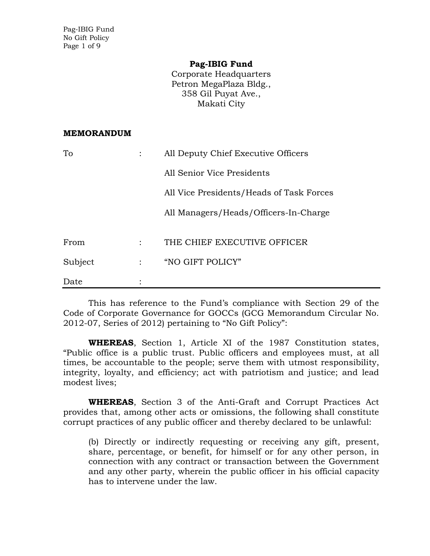Pag-IBIG Fund No Gift Policy Page 1 of 9

#### **Pag-IBIG Fund**

Corporate Headquarters Petron MegaPlaza Bldg., 358 Gil Puyat Ave., Makati City

#### **MEMORANDUM**

| To      | All Deputy Chief Executive Officers      |
|---------|------------------------------------------|
|         | All Senior Vice Presidents               |
|         | All Vice Presidents/Heads of Task Forces |
|         | All Managers/Heads/Officers-In-Charge    |
|         |                                          |
| From    | THE CHIEF EXECUTIVE OFFICER              |
| Subject | "NO GIFT POLICY"                         |
| Date    |                                          |

This has reference to the Fund's compliance with Section 29 of the Code of Corporate Governance for GOCCs (GCG Memorandum Circular No. 2012-07, Series of 2012) pertaining to "No Gift Policy":

**WHEREAS**, Section 1, Article XI of the 1987 Constitution states, "Public office is a public trust. Public officers and employees must, at all times, be accountable to the people; serve them with utmost responsibility, integrity, loyalty, and efficiency; act with patriotism and justice; and lead modest lives;

**WHEREAS**, Section 3 of the Anti-Graft and Corrupt Practices Act provides that, among other acts or omissions, the following shall constitute corrupt practices of any public officer and thereby declared to be unlawful:

(b) Directly or indirectly requesting or receiving any gift, present, share, percentage, or benefit, for himself or for any other person, in connection with any contract or transaction between the Government and any other party, wherein the public officer in his official capacity has to intervene under the law.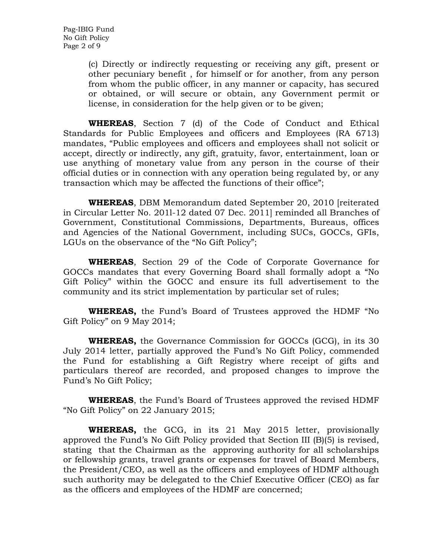(c) Directly or indirectly requesting or receiving any gift, present or other pecuniary benefit , for himself or for another, from any person from whom the public officer, in any manner or capacity, has secured or obtained, or will secure or obtain, any Government permit or license, in consideration for the help given or to be given;

**WHEREAS**, Section 7 (d) of the Code of Conduct and Ethical Standards for Public Employees and officers and Employees (RA 6713) mandates, "Public employees and officers and employees shall not solicit or accept, directly or indirectly, any gift, gratuity, favor, entertainment, loan or use anything of monetary value from any person in the course of their official duties or in connection with any operation being regulated by, or any transaction which may be affected the functions of their office";

**WHEREAS**, DBM Memorandum dated September 20, 2010 [reiterated in Circular Letter No. 201l-12 dated 07 Dec. 2011] reminded all Branches of Government, Constitutional Commissions, Departments, Bureaus, offices and Agencies of the National Government, including SUCs, GOCCs, GFIs, LGUs on the observance of the "No Gift Policy";

**WHEREAS**, Section 29 of the Code of Corporate Governance for GOCCs mandates that every Governing Board shall formally adopt a "No Gift Policy" within the GOCC and ensure its full advertisement to the community and its strict implementation by particular set of rules;

**WHEREAS,** the Fund's Board of Trustees approved the HDMF "No Gift Policy" on 9 May 2014;

**WHEREAS,** the Governance Commission for GOCCs (GCG), in its 30 July 2014 letter, partially approved the Fund's No Gift Policy, commended the Fund for establishing a Gift Registry where receipt of gifts and particulars thereof are recorded, and proposed changes to improve the Fund's No Gift Policy;

**WHEREAS**, the Fund's Board of Trustees approved the revised HDMF "No Gift Policy" on 22 January 2015;

**WHEREAS,** the GCG, in its 21 May 2015 letter, provisionally approved the Fund's No Gift Policy provided that Section III (B)(5) is revised, stating that the Chairman as the approving authority for all scholarships or fellowship grants, travel grants or expenses for travel of Board Members, the President/CEO, as well as the officers and employees of HDMF although such authority may be delegated to the Chief Executive Officer (CEO) as far as the officers and employees of the HDMF are concerned;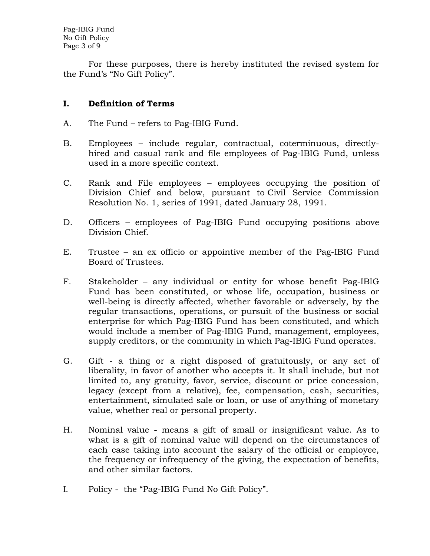Pag-IBIG Fund No Gift Policy Page 3 of 9

For these purposes, there is hereby instituted the revised system for the Fund's "No Gift Policy".

## **I. Definition of Terms**

- A. The Fund refers to Pag-IBIG Fund.
- B. Employees include regular, contractual, coterminuous, directlyhired and casual rank and file employees of Pag-IBIG Fund, unless used in a more specific context.
- C. Rank and File employees employees occupying the position of Division Chief and below, pursuant to Civil Service Commission Resolution No. 1, series of 1991, dated January 28, 1991.
- D. Officers employees of Pag-IBIG Fund occupying positions above Division Chief.
- E. Trustee an ex officio or appointive member of the Pag-IBIG Fund Board of Trustees.
- F. Stakeholder any individual or entity for whose benefit Pag-IBIG Fund has been constituted, or whose life, occupation, business or well-being is directly affected, whether favorable or adversely, by the regular transactions, operations, or pursuit of the business or social enterprise for which Pag-IBIG Fund has been constituted, and which would include a member of Pag-IBIG Fund, management, employees, supply creditors, or the community in which Pag-IBIG Fund operates.
- G. Gift a thing or a right disposed of gratuitously, or any act of liberality, in favor of another who accepts it. It shall include, but not limited to, any gratuity, favor, service, discount or price concession, legacy (except from a relative), fee, compensation, cash, securities, entertainment, simulated sale or loan, or use of anything of monetary value, whether real or personal property.
- H. Nominal value means a gift of small or insignificant value. As to what is a gift of nominal value will depend on the circumstances of each case taking into account the salary of the official or employee, the frequency or infrequency of the giving, the expectation of benefits, and other similar factors.
- I. Policy the "Pag-IBIG Fund No Gift Policy".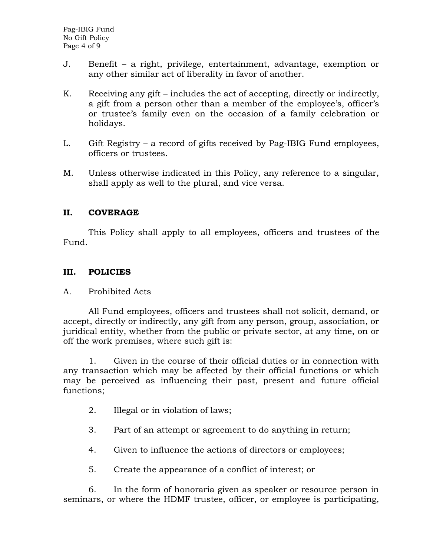- J. Benefit a right, privilege, entertainment, advantage, exemption or any other similar act of liberality in favor of another.
- K. Receiving any gift includes the act of accepting, directly or indirectly, a gift from a person other than a member of the employee's, officer's or trustee's family even on the occasion of a family celebration or holidays.
- L. Gift Registry a record of gifts received by Pag-IBIG Fund employees, officers or trustees.
- M. Unless otherwise indicated in this Policy, any reference to a singular, shall apply as well to the plural, and vice versa.

## **II. COVERAGE**

This Policy shall apply to all employees, officers and trustees of the Fund.

## **III. POLICIES**

### A. Prohibited Acts

All Fund employees, officers and trustees shall not solicit, demand, or accept, directly or indirectly, any gift from any person, group, association, or juridical entity, whether from the public or private sector, at any time, on or off the work premises, where such gift is:

1. Given in the course of their official duties or in connection with any transaction which may be affected by their official functions or which may be perceived as influencing their past, present and future official functions;

- 2. Illegal or in violation of laws;
- 3. Part of an attempt or agreement to do anything in return;
- 4. Given to influence the actions of directors or employees;
- 5. Create the appearance of a conflict of interest; or

6. In the form of honoraria given as speaker or resource person in seminars, or where the HDMF trustee, officer, or employee is participating,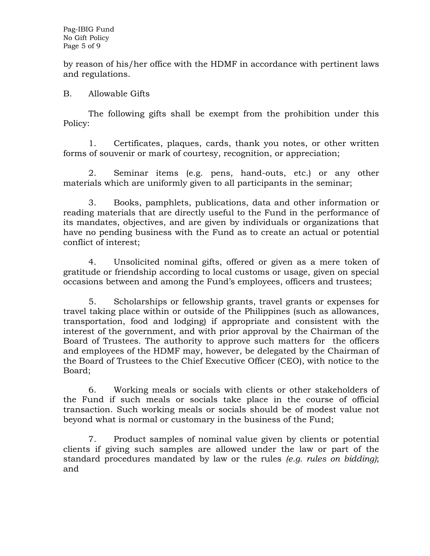by reason of his/her office with the HDMF in accordance with pertinent laws and regulations.

## B. Allowable Gifts

The following gifts shall be exempt from the prohibition under this Policy:

1. Certificates, plaques, cards, thank you notes, or other written forms of souvenir or mark of courtesy, recognition, or appreciation;

2. Seminar items (e.g. pens, hand-outs, etc.) or any other materials which are uniformly given to all participants in the seminar;

3. Books, pamphlets, publications, data and other information or reading materials that are directly useful to the Fund in the performance of its mandates, objectives, and are given by individuals or organizations that have no pending business with the Fund as to create an actual or potential conflict of interest;

4. Unsolicited nominal gifts, offered or given as a mere token of gratitude or friendship according to local customs or usage, given on special occasions between and among the Fund's employees, officers and trustees;

5. Scholarships or fellowship grants, travel grants or expenses for travel taking place within or outside of the Philippines (such as allowances, transportation, food and lodging) if appropriate and consistent with the interest of the government, and with prior approval by the Chairman of the Board of Trustees. The authority to approve such matters for the officers and employees of the HDMF may, however, be delegated by the Chairman of the Board of Trustees to the Chief Executive Officer (CEO), with notice to the Board;

6. Working meals or socials with clients or other stakeholders of the Fund if such meals or socials take place in the course of official transaction. Such working meals or socials should be of modest value not beyond what is normal or customary in the business of the Fund;

7. Product samples of nominal value given by clients or potential clients if giving such samples are allowed under the law or part of the standard procedures mandated by law or the rules *(e.g. rules on bidding)*; and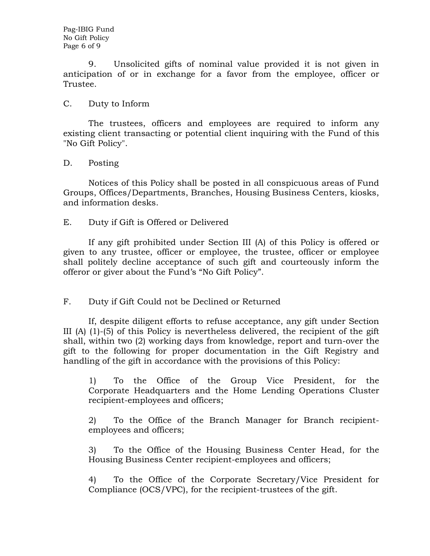Pag-IBIG Fund No Gift Policy Page 6 of 9

9. Unsolicited gifts of nominal value provided it is not given in anticipation of or in exchange for a favor from the employee, officer or Trustee.

#### C. Duty to Inform

The trustees, officers and employees are required to inform any existing client transacting or potential client inquiring with the Fund of this "No Gift Policy".

#### D. Posting

Notices of this Policy shall be posted in all conspicuous areas of Fund Groups, Offices/Departments, Branches, Housing Business Centers, kiosks, and information desks.

#### E. Duty if Gift is Offered or Delivered

If any gift prohibited under Section III (A) of this Policy is offered or given to any trustee, officer or employee, the trustee, officer or employee shall politely decline acceptance of such gift and courteously inform the offeror or giver about the Fund's "No Gift Policy".

### F. Duty if Gift Could not be Declined or Returned

If, despite diligent efforts to refuse acceptance, any gift under Section III (A) (1)-(5) of this Policy is nevertheless delivered, the recipient of the gift shall, within two (2) working days from knowledge, report and turn-over the gift to the following for proper documentation in the Gift Registry and handling of the gift in accordance with the provisions of this Policy:

1) To the Office of the Group Vice President, for the Corporate Headquarters and the Home Lending Operations Cluster recipient-employees and officers;

2) To the Office of the Branch Manager for Branch recipientemployees and officers;

3) To the Office of the Housing Business Center Head, for the Housing Business Center recipient-employees and officers;

4) To the Office of the Corporate Secretary/Vice President for Compliance (OCS/VPC), for the recipient-trustees of the gift.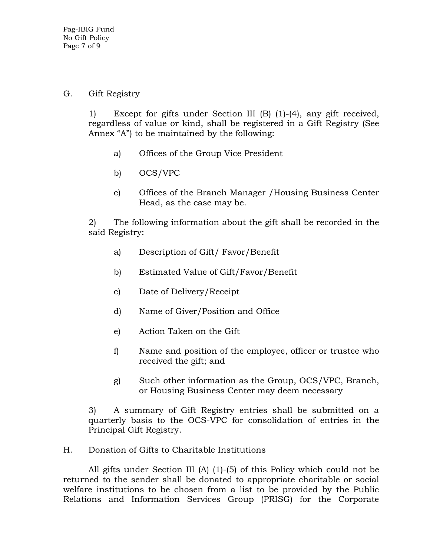## G. Gift Registry

1) Except for gifts under Section III (B) (1)-(4), any gift received, regardless of value or kind, shall be registered in a Gift Registry (See Annex "A") to be maintained by the following:

- a) Offices of the Group Vice President
- b) OCS/VPC
- c) Offices of the Branch Manager /Housing Business Center Head, as the case may be.

2) The following information about the gift shall be recorded in the said Registry:

- a) Description of Gift/ Favor/Benefit
- b) Estimated Value of Gift/Favor/Benefit
- c) Date of Delivery/Receipt
- d) Name of Giver/Position and Office
- e) Action Taken on the Gift
- f) Name and position of the employee, officer or trustee who received the gift; and
- g) Such other information as the Group, OCS/VPC, Branch, or Housing Business Center may deem necessary

3) A summary of Gift Registry entries shall be submitted on a quarterly basis to the OCS-VPC for consolidation of entries in the Principal Gift Registry.

## H. Donation of Gifts to Charitable Institutions

All gifts under Section III (A) (1)-(5) of this Policy which could not be returned to the sender shall be donated to appropriate charitable or social welfare institutions to be chosen from a list to be provided by the Public Relations and Information Services Group (PRISG) for the Corporate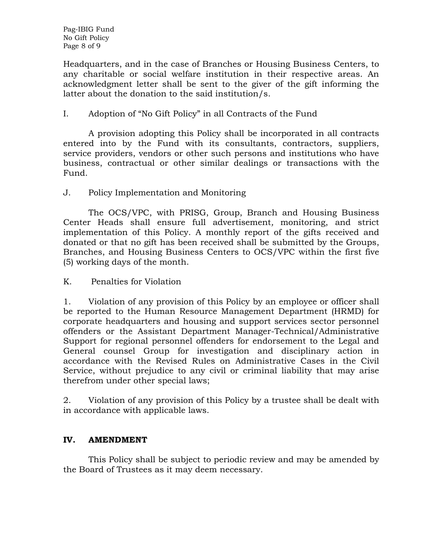Pag-IBIG Fund No Gift Policy Page 8 of 9

Headquarters, and in the case of Branches or Housing Business Centers, to any charitable or social welfare institution in their respective areas. An acknowledgment letter shall be sent to the giver of the gift informing the latter about the donation to the said institution/s.

# I. Adoption of "No Gift Policy" in all Contracts of the Fund

A provision adopting this Policy shall be incorporated in all contracts entered into by the Fund with its consultants, contractors, suppliers, service providers, vendors or other such persons and institutions who have business, contractual or other similar dealings or transactions with the Fund.

# J. Policy Implementation and Monitoring

The OCS/VPC, with PRISG, Group, Branch and Housing Business Center Heads shall ensure full advertisement*,* monitoring, and strict implementation of this Policy. A monthly report of the gifts received and donated or that no gift has been received shall be submitted by the Groups, Branches, and Housing Business Centers to OCS/VPC within the first five (5) working days of the month.

K. Penalties for Violation

1. Violation of any provision of this Policy by an employee or officer shall be reported to the Human Resource Management Department (HRMD) for corporate headquarters and housing and support services sector personnel offenders or the Assistant Department Manager-Technical/Administrative Support for regional personnel offenders for endorsement to the Legal and General counsel Group for investigation and disciplinary action in accordance with the Revised Rules on Administrative Cases in the Civil Service, without prejudice to any civil or criminal liability that may arise therefrom under other special laws;

2. Violation of any provision of this Policy by a trustee shall be dealt with in accordance with applicable laws.

## **IV. AMENDMENT**

This Policy shall be subject to periodic review and may be amended by the Board of Trustees as it may deem necessary.